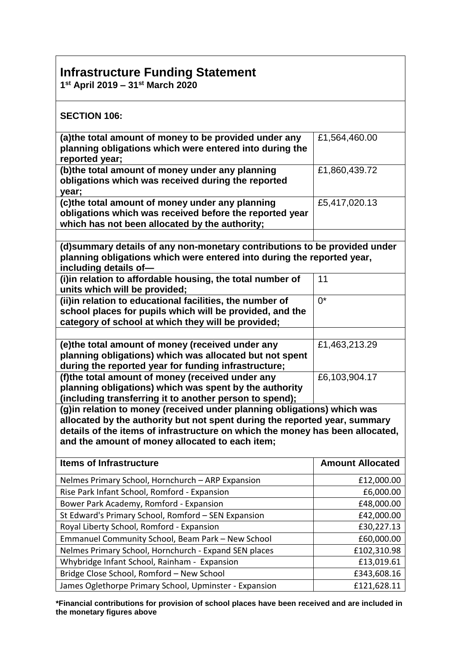## **Infrastructure Funding Statement**

**1st April 2019 – 31st March 2020** 

| <b>SECTION 106:</b>                                                                                                                                                                                                                                                                        |                         |  |  |
|--------------------------------------------------------------------------------------------------------------------------------------------------------------------------------------------------------------------------------------------------------------------------------------------|-------------------------|--|--|
| (a) the total amount of money to be provided under any<br>planning obligations which were entered into during the<br>reported year;                                                                                                                                                        | £1,564,460.00           |  |  |
| (b)the total amount of money under any planning<br>obligations which was received during the reported<br>year;                                                                                                                                                                             | £1,860,439.72           |  |  |
| (c)the total amount of money under any planning<br>obligations which was received before the reported year<br>which has not been allocated by the authority;                                                                                                                               | £5,417,020.13           |  |  |
|                                                                                                                                                                                                                                                                                            |                         |  |  |
| (d) summary details of any non-monetary contributions to be provided under<br>planning obligations which were entered into during the reported year,<br>including details of-                                                                                                              |                         |  |  |
| (i)in relation to affordable housing, the total number of<br>units which will be provided;                                                                                                                                                                                                 | 11                      |  |  |
| (ii)in relation to educational facilities, the number of<br>school places for pupils which will be provided, and the<br>category of school at which they will be provided;                                                                                                                 | $0^*$                   |  |  |
|                                                                                                                                                                                                                                                                                            |                         |  |  |
| (e)the total amount of money (received under any<br>planning obligations) which was allocated but not spent<br>during the reported year for funding infrastructure;                                                                                                                        | £1,463,213.29           |  |  |
| (f)the total amount of money (received under any<br>planning obligations) which was spent by the authority<br>(including transferring it to another person to spend);                                                                                                                      | £6,103,904.17           |  |  |
| (g) in relation to money (received under planning obligations) which was<br>allocated by the authority but not spent during the reported year, summary<br>details of the items of infrastructure on which the money has been allocated,<br>and the amount of money allocated to each item; |                         |  |  |
| <b>Items of Infrastructure</b>                                                                                                                                                                                                                                                             | <b>Amount Allocated</b> |  |  |
| Nelmes Primary School, Hornchurch - ARP Expansion                                                                                                                                                                                                                                          | £12,000.00              |  |  |
| Rise Park Infant School, Romford - Expansion                                                                                                                                                                                                                                               | £6,000.00               |  |  |
| Bower Park Academy, Romford - Expansion                                                                                                                                                                                                                                                    | £48,000.00              |  |  |
| St Edward's Primary School, Romford - SEN Expansion                                                                                                                                                                                                                                        | £42,000.00              |  |  |
| Royal Liberty School, Romford - Expansion                                                                                                                                                                                                                                                  | £30,227.13              |  |  |
| Emmanuel Community School, Beam Park - New School                                                                                                                                                                                                                                          | £60,000.00              |  |  |
| Nelmes Primary School, Hornchurch - Expand SEN places                                                                                                                                                                                                                                      | £102,310.98             |  |  |
| Whybridge Infant School, Rainham - Expansion                                                                                                                                                                                                                                               | £13,019.61              |  |  |
| Bridge Close School, Romford - New School                                                                                                                                                                                                                                                  | £343,608.16             |  |  |
| James Oglethorpe Primary School, Upminster - Expansion                                                                                                                                                                                                                                     | £121,628.11             |  |  |

**\*Financial contributions for provision of school places have been received and are included in the monetary figures above**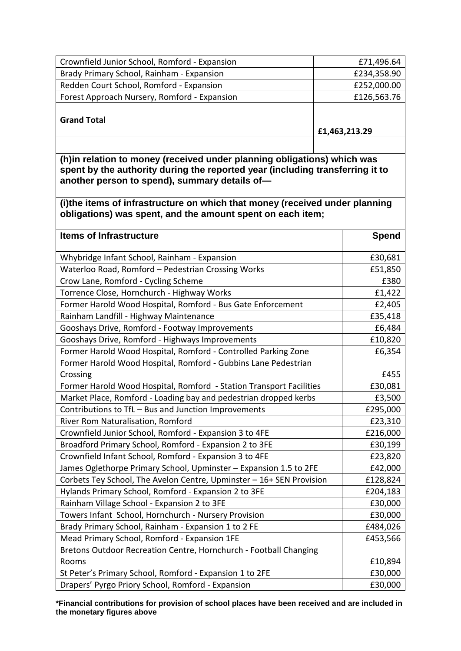| Crownfield Junior School, Romford - Expansion                                                                                                                                                             | £71,496.64    |  |  |
|-----------------------------------------------------------------------------------------------------------------------------------------------------------------------------------------------------------|---------------|--|--|
| Brady Primary School, Rainham - Expansion                                                                                                                                                                 | £234,358.90   |  |  |
| Redden Court School, Romford - Expansion                                                                                                                                                                  | £252,000.00   |  |  |
| Forest Approach Nursery, Romford - Expansion                                                                                                                                                              | £126,563.76   |  |  |
| <b>Grand Total</b>                                                                                                                                                                                        | £1,463,213.29 |  |  |
|                                                                                                                                                                                                           |               |  |  |
| (h)in relation to money (received under planning obligations) which was<br>spent by the authority during the reported year (including transferring it to<br>another person to spend), summary details of- |               |  |  |
|                                                                                                                                                                                                           |               |  |  |
| (i)the items of infrastructure on which that money (received under planning<br>obligations) was spent, and the amount spent on each item;                                                                 |               |  |  |
| <b>Items of Infrastructure</b>                                                                                                                                                                            | <b>Spend</b>  |  |  |
| Whybridge Infant School, Rainham - Expansion                                                                                                                                                              | £30,681       |  |  |
| Waterloo Road, Romford - Pedestrian Crossing Works                                                                                                                                                        | £51,850       |  |  |
| Crow Lane, Romford - Cycling Scheme                                                                                                                                                                       | £380          |  |  |
| Torrence Close, Hornchurch - Highway Works                                                                                                                                                                | £1,422        |  |  |
| Former Harold Wood Hospital, Romford - Bus Gate Enforcement                                                                                                                                               | £2,405        |  |  |
| Rainham Landfill - Highway Maintenance                                                                                                                                                                    | £35,418       |  |  |
| Gooshays Drive, Romford - Footway Improvements                                                                                                                                                            | £6,484        |  |  |
| Gooshays Drive, Romford - Highways Improvements                                                                                                                                                           | £10,820       |  |  |
| Former Harold Wood Hospital, Romford - Controlled Parking Zone                                                                                                                                            | £6,354        |  |  |
| Former Harold Wood Hospital, Romford - Gubbins Lane Pedestrian<br>Crossing                                                                                                                                | £455          |  |  |
| Former Harold Wood Hospital, Romford - Station Transport Facilities                                                                                                                                       | £30,081       |  |  |
| Market Place, Romford - Loading bay and pedestrian dropped kerbs                                                                                                                                          | £3,500        |  |  |
| Contributions to TfL - Bus and Junction Improvements                                                                                                                                                      | £295,000      |  |  |
| River Rom Naturalisation, Romford                                                                                                                                                                         | £23,310       |  |  |
| Crownfield Junior School, Romford - Expansion 3 to 4FE                                                                                                                                                    | £216,000      |  |  |
| Broadford Primary School, Romford - Expansion 2 to 3FE                                                                                                                                                    | £30,199       |  |  |
| Crownfield Infant School, Romford - Expansion 3 to 4FE                                                                                                                                                    | £23,820       |  |  |
| James Oglethorpe Primary School, Upminster - Expansion 1.5 to 2FE                                                                                                                                         | £42,000       |  |  |
| Corbets Tey School, The Avelon Centre, Upminster - 16+ SEN Provision                                                                                                                                      | £128,824      |  |  |
| Hylands Primary School, Romford - Expansion 2 to 3FE                                                                                                                                                      | £204,183      |  |  |
| Rainham Village School - Expansion 2 to 3FE                                                                                                                                                               | £30,000       |  |  |
| Towers Infant School, Hornchurch - Nursery Provision                                                                                                                                                      | £30,000       |  |  |
| Brady Primary School, Rainham - Expansion 1 to 2 FE                                                                                                                                                       | £484,026      |  |  |
| Mead Primary School, Romford - Expansion 1FE                                                                                                                                                              | £453,566      |  |  |
| Bretons Outdoor Recreation Centre, Hornchurch - Football Changing                                                                                                                                         |               |  |  |
| Rooms                                                                                                                                                                                                     | £10,894       |  |  |
| St Peter's Primary School, Romford - Expansion 1 to 2FE                                                                                                                                                   | £30,000       |  |  |
| Drapers' Pyrgo Priory School, Romford - Expansion                                                                                                                                                         | £30,000       |  |  |

**\*Financial contributions for provision of school places have been received and are included in the monetary figures above**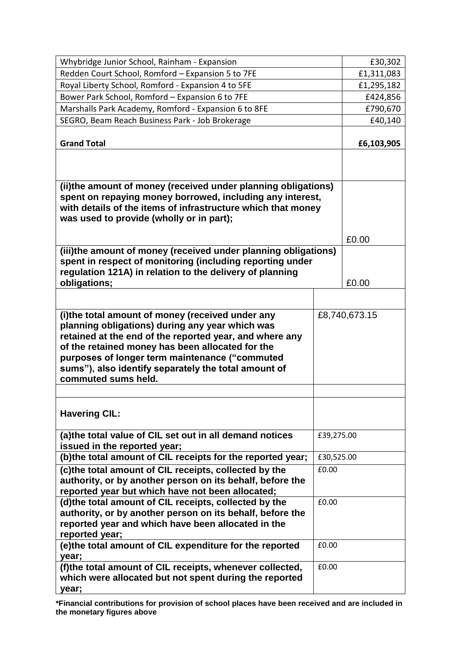| Whybridge Junior School, Rainham - Expansion                                                                                                                                                                                                                                                                                                        |            | £30,302       |
|-----------------------------------------------------------------------------------------------------------------------------------------------------------------------------------------------------------------------------------------------------------------------------------------------------------------------------------------------------|------------|---------------|
| Redden Court School, Romford - Expansion 5 to 7FE                                                                                                                                                                                                                                                                                                   |            | £1,311,083    |
| Royal Liberty School, Romford - Expansion 4 to 5FE                                                                                                                                                                                                                                                                                                  |            | £1,295,182    |
| Bower Park School, Romford - Expansion 6 to 7FE                                                                                                                                                                                                                                                                                                     |            | £424,856      |
| Marshalls Park Academy, Romford - Expansion 6 to 8FE                                                                                                                                                                                                                                                                                                |            | £790,670      |
| SEGRO, Beam Reach Business Park - Job Brokerage                                                                                                                                                                                                                                                                                                     |            | £40,140       |
| <b>Grand Total</b>                                                                                                                                                                                                                                                                                                                                  |            | £6,103,905    |
|                                                                                                                                                                                                                                                                                                                                                     |            |               |
| (ii)the amount of money (received under planning obligations)<br>spent on repaying money borrowed, including any interest,<br>with details of the items of infrastructure which that money<br>was used to provide (wholly or in part);                                                                                                              |            |               |
|                                                                                                                                                                                                                                                                                                                                                     |            | £0.00         |
| (iii)the amount of money (received under planning obligations)<br>spent in respect of monitoring (including reporting under<br>regulation 121A) in relation to the delivery of planning<br>obligations;                                                                                                                                             |            | £0.00         |
|                                                                                                                                                                                                                                                                                                                                                     |            |               |
| (i)the total amount of money (received under any<br>planning obligations) during any year which was<br>retained at the end of the reported year, and where any<br>of the retained money has been allocated for the<br>purposes of longer term maintenance ("commuted<br>sums"), also identify separately the total amount of<br>commuted sums held. |            | £8,740,673.15 |
|                                                                                                                                                                                                                                                                                                                                                     |            |               |
| <b>Havering CIL:</b>                                                                                                                                                                                                                                                                                                                                |            |               |
| (a) the total value of CIL set out in all demand notices<br>issued in the reported year;                                                                                                                                                                                                                                                            | £39,275.00 |               |
| (b)the total amount of CIL receipts for the reported year;                                                                                                                                                                                                                                                                                          | £30,525.00 |               |
| (c) the total amount of CIL receipts, collected by the<br>authority, or by another person on its behalf, before the<br>reported year but which have not been allocated;                                                                                                                                                                             | £0.00      |               |
| (d)the total amount of CIL receipts, collected by the<br>authority, or by another person on its behalf, before the<br>reported year and which have been allocated in the<br>reported year;                                                                                                                                                          | £0.00      |               |
| (e)the total amount of CIL expenditure for the reported<br>year;                                                                                                                                                                                                                                                                                    | £0.00      |               |
| (f)the total amount of CIL receipts, whenever collected,<br>which were allocated but not spent during the reported<br>year;                                                                                                                                                                                                                         | £0.00      |               |

**\*Financial contributions for provision of school places have been received and are included in the monetary figures above**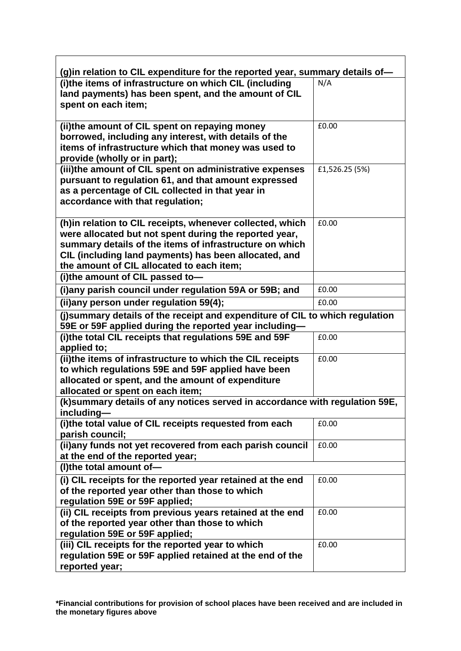| (g)in relation to CIL expenditure for the reported year, summary details of-                                                                                                                                                                                                          |                |  |
|---------------------------------------------------------------------------------------------------------------------------------------------------------------------------------------------------------------------------------------------------------------------------------------|----------------|--|
| (i)the items of infrastructure on which CIL (including<br>land payments) has been spent, and the amount of CIL<br>spent on each item;                                                                                                                                                 | N/A            |  |
| (ii)the amount of CIL spent on repaying money<br>borrowed, including any interest, with details of the<br>items of infrastructure which that money was used to<br>provide (wholly or in part);                                                                                        | £0.00          |  |
| (iii)the amount of CIL spent on administrative expenses<br>pursuant to regulation 61, and that amount expressed<br>as a percentage of CIL collected in that year in<br>accordance with that regulation;                                                                               | £1,526.25 (5%) |  |
| (h) in relation to CIL receipts, whenever collected, which<br>were allocated but not spent during the reported year,<br>summary details of the items of infrastructure on which<br>CIL (including land payments) has been allocated, and<br>the amount of CIL allocated to each item; | £0.00          |  |
| (i)the amount of CIL passed to-                                                                                                                                                                                                                                                       |                |  |
| (i)any parish council under regulation 59A or 59B; and                                                                                                                                                                                                                                | £0.00          |  |
| (ii)any person under regulation 59(4);                                                                                                                                                                                                                                                | £0.00          |  |
| (j)summary details of the receipt and expenditure of CIL to which regulation                                                                                                                                                                                                          |                |  |
| 59E or 59F applied during the reported year including-<br>(i)the total CIL receipts that regulations 59E and 59F                                                                                                                                                                      | £0.00          |  |
| applied to;                                                                                                                                                                                                                                                                           |                |  |
| (ii)the items of infrastructure to which the CIL receipts<br>to which regulations 59E and 59F applied have been<br>allocated or spent, and the amount of expenditure                                                                                                                  | £0.00          |  |
| allocated or spent on each item;                                                                                                                                                                                                                                                      |                |  |
| (k) summary details of any notices served in accordance with regulation 59E,<br>including—                                                                                                                                                                                            |                |  |
| (i)the total value of CIL receipts requested from each<br>parish council;                                                                                                                                                                                                             | £0.00          |  |
| (ii)any funds not yet recovered from each parish council<br>at the end of the reported year;                                                                                                                                                                                          | £0.00          |  |
| (I)the total amount of-                                                                                                                                                                                                                                                               |                |  |
| (i) CIL receipts for the reported year retained at the end<br>of the reported year other than those to which<br>regulation 59E or 59F applied;                                                                                                                                        | £0.00          |  |
| (ii) CIL receipts from previous years retained at the end<br>of the reported year other than those to which<br>regulation 59E or 59F applied;                                                                                                                                         | £0.00          |  |
| (iii) CIL receipts for the reported year to which<br>regulation 59E or 59F applied retained at the end of the<br>reported year;                                                                                                                                                       | £0.00          |  |